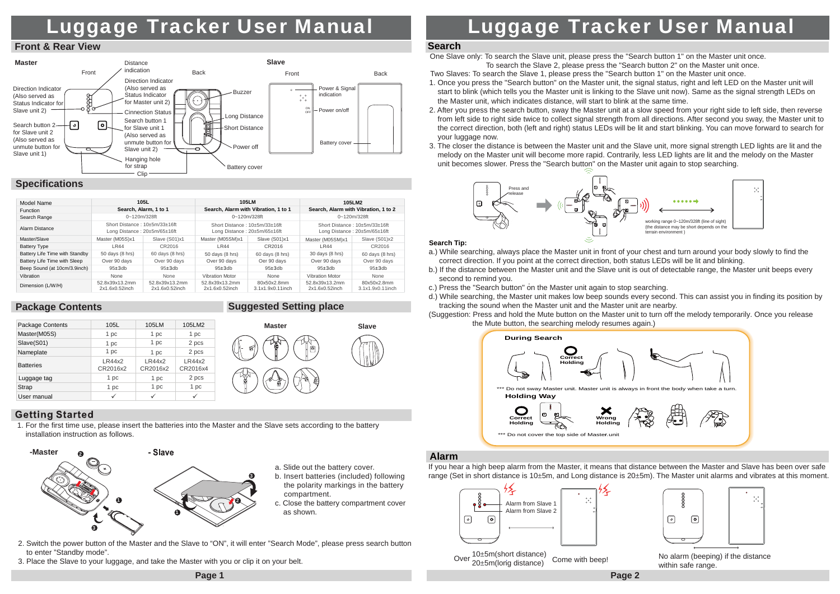# Luggage Tracker User Manual

#### **Front & Rear View**



| 105L<br>Model Name             |                                                               | <b>105LM</b>                     |                                                               | 105LM2                          |                                                               |                                 |
|--------------------------------|---------------------------------------------------------------|----------------------------------|---------------------------------------------------------------|---------------------------------|---------------------------------------------------------------|---------------------------------|
| <b>Function</b>                | Search, Alarm, 1 to 1                                         |                                  | Search, Alarm with Vibration, 1 to 1                          |                                 | Search, Alarm with Vibration, 1 to 2                          |                                 |
| Search Range                   | $0 - 120$ m/328ft                                             |                                  | $0 - 120$ m/328ft                                             |                                 | $0 - 120$ m/328ft                                             |                                 |
| Alarm Distance                 | Short Distance: 10+5m/33+16ft<br>Long Distance: 20±5m/65±16ft |                                  | Short Distance: 10+5m/33+16ft<br>Long Distance: 20±5m/65±16ft |                                 | Short Distance: 10+5m/33+16ft<br>Long Distance: 20±5m/65±16ft |                                 |
| Master/Slave                   | Master (M05S)x1                                               | Slave (S01)x1                    | Master (M05SM)x1                                              | Slave (S01)x1                   | Master (M05SM)x1                                              | Slave (S01)x2                   |
| <b>Battery Type</b>            | LR44                                                          | CR2016                           | LR44                                                          | CR2016                          | <b>LR44</b>                                                   | CR2016                          |
| Battery Life Time with Standby | 50 days (8 hrs)                                               | 60 days (8 hrs)                  | 50 days (8 hrs)                                               | 60 days (8 hrs)                 | 30 days (8 hrs)                                               | 60 days (8 hrs)                 |
| Battery Life Time with Sleep   | Over 90 days                                                  | Over 90 days                     | Over 90 days                                                  | Oer 90 days                     | Over 90 days                                                  | Over 90 days                    |
| Beep Sound (at 10cm/3.9inch)   | $95 + 3$ db                                                   | $95 + 3$ db                      | $95 + 3$ db                                                   | $95 + 3$ db                     | $95 + 3$ db                                                   | $95 + 3$ db                     |
| Vibration                      | None                                                          | None                             | <b>Vibration Motor</b>                                        | None                            | Vibration Motor                                               | None                            |
| Dimension (L/W/H)              | 52.8x39x13.2mm<br>2x1.6x0.52inch                              | 52.8x39x13.2mm<br>2x1.6x0.52inch | 52.8x39x13.2mm<br>2x1.6x0.52inch                              | 80x50x2.8mm<br>3.1x1.9x0.11inch | 52.8x39x13.2mm<br>2x1.6x0.52inch                              | 80x50x2.8mm<br>3.1x1.9x0.11inch |

## **Package Contents**

| <b>Suggested Setting place</b> |  |
|--------------------------------|--|
|                                |  |

**Master**

| Package Contents | 105L               | 105LM              | 105LM2             |
|------------------|--------------------|--------------------|--------------------|
| Master(M05S)     | 1 pc               | 1 pc               | 1 pc               |
| Slave(S01)       | 1 pc               | 1 pc               | 2 pcs              |
| Nameplate        | 1 pc               | 1 pc               | 2 pcs              |
| <b>Batteries</b> | LR44x2<br>CR2016x2 | LR44x2<br>CR2016x2 | LR44x2<br>CR2016x4 |
| Luggage tag      | 1 pc               | 1 pc               | 2 pcs              |
| Strap            | 1 pc               | 1 pc               | 1 pc               |
| User manual      | ✓                  |                    | $\checkmark$       |

# **Getting Started**

1. For the first time use, please insert the batteries into the Master and the Slave sets according to the battery installation instruction as follows.



- a. Slide out the battery cover.
- b. Insert batteries (included) following the polarity markings in the battery compartment.

**Slave**

- c. Close the battery compartment cover as shown.
- 2. Switch the power button of the Master and the Slave to "ON", it will enter "Search Mode", please press search button to enter "Standby mode".
- 3. Place the Slave to your luggage, and take the Master with you or clip it on your belt.

# Luggage Tracker User Manual

#### **Search**

One Slave only: To search the Slave unit, please press the "Search button 1" on the Master unit once. To search the Slave 2, please press the "Search button 2" on the Master unit once.

Two Slaves: To search the Slave 1, please press the "Search button 1" on the Master unit once.

- 1. Once you press the "Search button" on the Master unit, the signal status, right and left LED on the Master unit will start to blink (which tells you the Master unit is linking to the Slave unit now). Same as the signal strength LEDs on the Master unit, which indicates distance, will start to blink at the same time.
- 2. After you press the search button, sway the Master unit at a slow speed from your right side to left side, then reverse from left side to right side twice to collect signal strength from all directions. After second you sway, the Master unit to the correct direction, both (left and right) status LEDs will be lit and start blinking. You can move forward to search for your luggage now.
- 3. The closer the distance is between the Master unit and the Slave unit, more signal strength LED lights are lit and the melody on the Master unit will become more rapid. Contrarily, less LED lights are lit and the melody on the Master unit becomes slower. Press the "Search button" on the Master unit again to stop searching.



#### **Search Tip:**

- a.) While searching, always place the Master unit in front of your chest and turn around your body slowly to find the correct direction. If you point at the correct direction, both status LEDs will be lit and blinking.
- b.) If the distance between the Master unit and the Slave unit is out of detectable range, the Master unit beeps every second to remind you.
- c.) Press the "Search button" on the Master unit again to stop searching.
- d.) While searching, the Master unit makes low beep sounds every second. This can assist you in finding its position by tracking the sound when the Master unit and the Master unit are nearby.
- (Suggestion: Press and hold the Mute button on the Master unit to turn off the melody temporarily. Once you release the Mute button, the searching melody resumes again.)



# **Alarm**

If you hear a high beep alarm from the Master, it means that distance between the Master and Slave has been over safe range (Set in short distance is 10±5m, and Long distance is 20±5m). The Master unit alarms and vibrates at this moment.